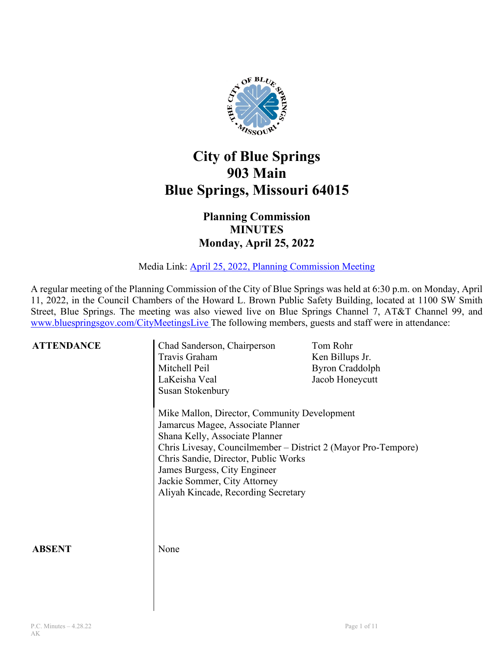

## **City of Blue Springs 903 Main Blue Springs, Missouri 64015**

## **Planning Commission MINUTES Monday, April 25, 2022**

Media Link: April 25, 2022, [Planning Commission Meeting](https://www.youtube.com/watch?v=on_SaxRvzI8)

A regular meeting of the Planning Commission of the City of Blue Springs was held at 6:30 p.m. on Monday, April 11, 2022, in the Council Chambers of the Howard L. Brown Public Safety Building, located at 1100 SW Smith Street, Blue Springs. The meeting was also viewed live on Blue Springs Channel 7, AT&T Channel 99, and [www.bluespringsgov.com/CityMeetingsLive](http://www.bluespringsgov.com/CityMeetingsLive) The following members, guests and staff were in attendance:

| <b>ATTENDANCE</b> | Chad Sanderson, Chairperson<br>Travis Graham<br>Mitchell Peil<br>LaKeisha Veal<br>Susan Stokenbury                                                                                                                                                                                                                                  | Tom Rohr<br>Ken Billups Jr.<br><b>Byron Craddolph</b><br>Jacob Honeycutt |
|-------------------|-------------------------------------------------------------------------------------------------------------------------------------------------------------------------------------------------------------------------------------------------------------------------------------------------------------------------------------|--------------------------------------------------------------------------|
|                   | Mike Mallon, Director, Community Development<br>Jamarcus Magee, Associate Planner<br>Shana Kelly, Associate Planner<br>Chris Livesay, Councilmember – District 2 (Mayor Pro-Tempore)<br>Chris Sandie, Director, Public Works<br>James Burgess, City Engineer<br>Jackie Sommer, City Attorney<br>Aliyah Kincade, Recording Secretary |                                                                          |
| <b>ABSENT</b>     | None                                                                                                                                                                                                                                                                                                                                |                                                                          |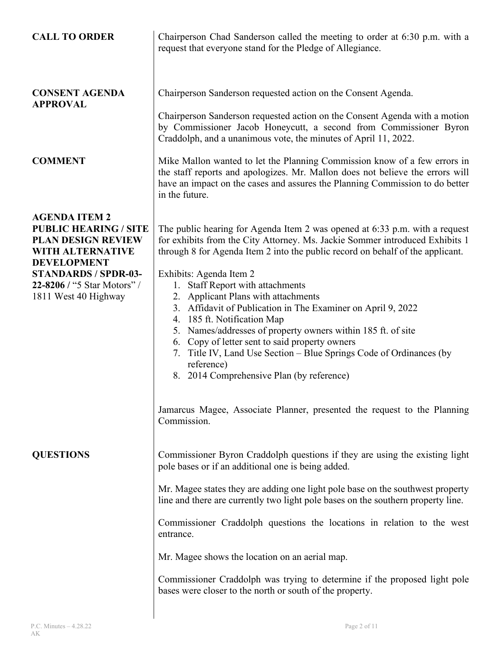| <b>CALL TO ORDER</b>                                                                                                                                                                                                     | Chairperson Chad Sanderson called the meeting to order at 6:30 p.m. with a<br>request that everyone stand for the Pledge of Allegiance.                                                                                                                                                                                                                                                                                                                                                                                                                                                                                                                                                                                                                                                                     |
|--------------------------------------------------------------------------------------------------------------------------------------------------------------------------------------------------------------------------|-------------------------------------------------------------------------------------------------------------------------------------------------------------------------------------------------------------------------------------------------------------------------------------------------------------------------------------------------------------------------------------------------------------------------------------------------------------------------------------------------------------------------------------------------------------------------------------------------------------------------------------------------------------------------------------------------------------------------------------------------------------------------------------------------------------|
| <b>CONSENT AGENDA</b><br><b>APPROVAL</b>                                                                                                                                                                                 | Chairperson Sanderson requested action on the Consent Agenda.<br>Chairperson Sanderson requested action on the Consent Agenda with a motion<br>by Commissioner Jacob Honeycutt, a second from Commissioner Byron<br>Craddolph, and a unanimous vote, the minutes of April 11, 2022.                                                                                                                                                                                                                                                                                                                                                                                                                                                                                                                         |
| <b>COMMENT</b>                                                                                                                                                                                                           | Mike Mallon wanted to let the Planning Commission know of a few errors in<br>the staff reports and apologizes. Mr. Mallon does not believe the errors will<br>have an impact on the cases and assures the Planning Commission to do better<br>in the future.                                                                                                                                                                                                                                                                                                                                                                                                                                                                                                                                                |
| <b>AGENDA ITEM 2</b><br><b>PUBLIC HEARING / SITE</b><br><b>PLAN DESIGN REVIEW</b><br><b>WITH ALTERNATIVE</b><br><b>DEVELOPMENT</b><br><b>STANDARDS / SPDR-03-</b><br>22-8206 / "5 Star Motors" /<br>1811 West 40 Highway | The public hearing for Agenda Item 2 was opened at 6:33 p.m. with a request<br>for exhibits from the City Attorney. Ms. Jackie Sommer introduced Exhibits 1<br>through 8 for Agenda Item 2 into the public record on behalf of the applicant.<br>Exhibits: Agenda Item 2<br><b>Staff Report with attachments</b><br>1.<br>2. Applicant Plans with attachments<br>3. Affidavit of Publication in The Examiner on April 9, 2022<br>4. 185 ft. Notification Map<br>5. Names/addresses of property owners within 185 ft. of site<br>6. Copy of letter sent to said property owners<br>7. Title IV, Land Use Section - Blue Springs Code of Ordinances (by<br>reference)<br>8. 2014 Comprehensive Plan (by reference)<br>Jamarcus Magee, Associate Planner, presented the request to the Planning<br>Commission. |
| <b>QUESTIONS</b>                                                                                                                                                                                                         | Commissioner Byron Craddolph questions if they are using the existing light<br>pole bases or if an additional one is being added.<br>Mr. Magee states they are adding one light pole base on the southwest property<br>line and there are currently two light pole bases on the southern property line.<br>Commissioner Craddolph questions the locations in relation to the west<br>entrance.<br>Mr. Magee shows the location on an aerial map.<br>Commissioner Craddolph was trying to determine if the proposed light pole<br>bases were closer to the north or south of the property.                                                                                                                                                                                                                   |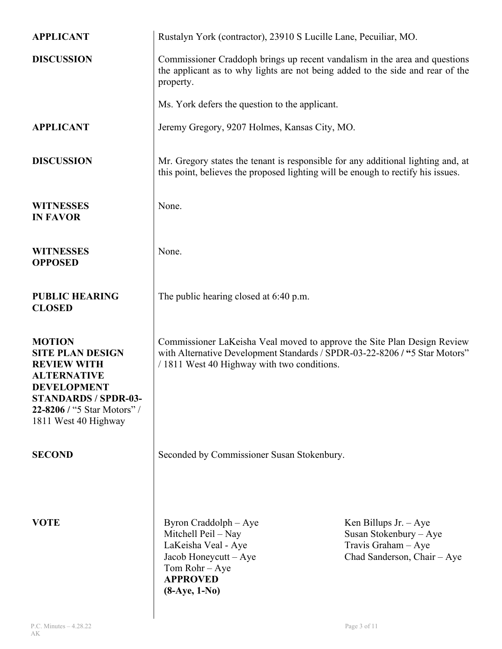| <b>APPLICANT</b>                                                                                                                                                                                 | Rustalyn York (contractor), 23910 S Lucille Lane, Pecuiliar, MO.                                                                                                                                     |                                                                                                        |
|--------------------------------------------------------------------------------------------------------------------------------------------------------------------------------------------------|------------------------------------------------------------------------------------------------------------------------------------------------------------------------------------------------------|--------------------------------------------------------------------------------------------------------|
| <b>DISCUSSION</b>                                                                                                                                                                                | Commissioner Craddoph brings up recent vandalism in the area and questions<br>the applicant as to why lights are not being added to the side and rear of the<br>property.                            |                                                                                                        |
|                                                                                                                                                                                                  | Ms. York defers the question to the applicant.                                                                                                                                                       |                                                                                                        |
| <b>APPLICANT</b>                                                                                                                                                                                 | Jeremy Gregory, 9207 Holmes, Kansas City, MO.                                                                                                                                                        |                                                                                                        |
| <b>DISCUSSION</b>                                                                                                                                                                                | Mr. Gregory states the tenant is responsible for any additional lighting and, at<br>this point, believes the proposed lighting will be enough to rectify his issues.                                 |                                                                                                        |
| <b>WITNESSES</b><br><b>IN FAVOR</b>                                                                                                                                                              | None.                                                                                                                                                                                                |                                                                                                        |
| <b>WITNESSES</b><br><b>OPPOSED</b>                                                                                                                                                               | None.                                                                                                                                                                                                |                                                                                                        |
| <b>PUBLIC HEARING</b><br><b>CLOSED</b>                                                                                                                                                           | The public hearing closed at 6:40 p.m.                                                                                                                                                               |                                                                                                        |
| <b>MOTION</b><br><b>SITE PLAN DESIGN</b><br><b>REVIEW WITH</b><br><b>ALTERNATIVE</b><br><b>DEVELOPMENT</b><br><b>STANDARDS / SPDR-03-</b><br>22-8206 / "5 Star Motors" /<br>1811 West 40 Highway | Commissioner LaKeisha Veal moved to approve the Site Plan Design Review<br>with Alternative Development Standards / SPDR-03-22-8206 / "5 Star Motors"<br>/ 1811 West 40 Highway with two conditions. |                                                                                                        |
| <b>SECOND</b>                                                                                                                                                                                    | Seconded by Commissioner Susan Stokenbury.                                                                                                                                                           |                                                                                                        |
| <b>VOTE</b>                                                                                                                                                                                      | Byron Craddolph – Aye<br>Mitchell Peil – Nay<br>LaKeisha Veal - Aye<br>Jacob Honeycutt - Aye<br>Tom Rohr - Aye<br><b>APPROVED</b><br>$(8-Aye, 1-No)$                                                 | Ken Billups Jr. $-Aye$<br>Susan Stokenbury - Aye<br>Travis Graham - Aye<br>Chad Sanderson, Chair - Aye |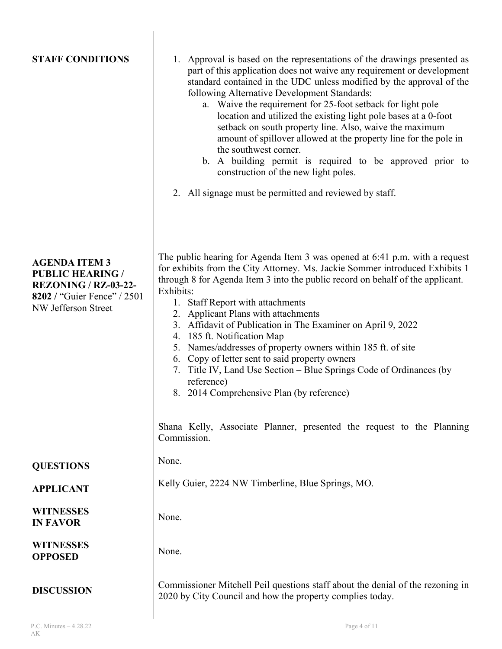| <b>STAFF CONDITIONS</b>                                                                                                                     | 1. Approval is based on the representations of the drawings presented as<br>part of this application does not waive any requirement or development<br>standard contained in the UDC unless modified by the approval of the<br>following Alternative Development Standards:<br>a. Waive the requirement for 25-foot setback for light pole<br>location and utilized the existing light pole bases at a 0-foot<br>setback on south property line. Also, waive the maximum<br>amount of spillover allowed at the property line for the pole in<br>the southwest corner.<br>b. A building permit is required to be approved prior to<br>construction of the new light poles.<br>2. All signage must be permitted and reviewed by staff.                               |
|---------------------------------------------------------------------------------------------------------------------------------------------|-------------------------------------------------------------------------------------------------------------------------------------------------------------------------------------------------------------------------------------------------------------------------------------------------------------------------------------------------------------------------------------------------------------------------------------------------------------------------------------------------------------------------------------------------------------------------------------------------------------------------------------------------------------------------------------------------------------------------------------------------------------------|
| <b>AGENDA ITEM 3</b><br><b>PUBLIC HEARING /</b><br><b>REZONING / RZ-03-22-</b><br><b>8202</b> / "Guier Fence" / 2501<br>NW Jefferson Street | The public hearing for Agenda Item 3 was opened at 6:41 p.m. with a request<br>for exhibits from the City Attorney. Ms. Jackie Sommer introduced Exhibits 1<br>through 8 for Agenda Item 3 into the public record on behalf of the applicant.<br>Exhibits:<br>1. Staff Report with attachments<br>2. Applicant Plans with attachments<br>3. Affidavit of Publication in The Examiner on April 9, 2022<br>4. 185 ft. Notification Map<br>5. Names/addresses of property owners within 185 ft. of site<br>6. Copy of letter sent to said property owners<br>7. Title IV, Land Use Section - Blue Springs Code of Ordinances (by<br>reference)<br>8. 2014 Comprehensive Plan (by reference)<br>Shana Kelly, Associate Planner, presented the request to the Planning |
|                                                                                                                                             | Commission.                                                                                                                                                                                                                                                                                                                                                                                                                                                                                                                                                                                                                                                                                                                                                       |
| <b>QUESTIONS</b>                                                                                                                            | None.                                                                                                                                                                                                                                                                                                                                                                                                                                                                                                                                                                                                                                                                                                                                                             |
| <b>APPLICANT</b>                                                                                                                            | Kelly Guier, 2224 NW Timberline, Blue Springs, MO.                                                                                                                                                                                                                                                                                                                                                                                                                                                                                                                                                                                                                                                                                                                |
| <b>WITNESSES</b><br><b>IN FAVOR</b>                                                                                                         | None.                                                                                                                                                                                                                                                                                                                                                                                                                                                                                                                                                                                                                                                                                                                                                             |
| <b>WITNESSES</b><br><b>OPPOSED</b>                                                                                                          | None.                                                                                                                                                                                                                                                                                                                                                                                                                                                                                                                                                                                                                                                                                                                                                             |
| <b>DISCUSSION</b>                                                                                                                           | Commissioner Mitchell Peil questions staff about the denial of the rezoning in<br>2020 by City Council and how the property complies today.                                                                                                                                                                                                                                                                                                                                                                                                                                                                                                                                                                                                                       |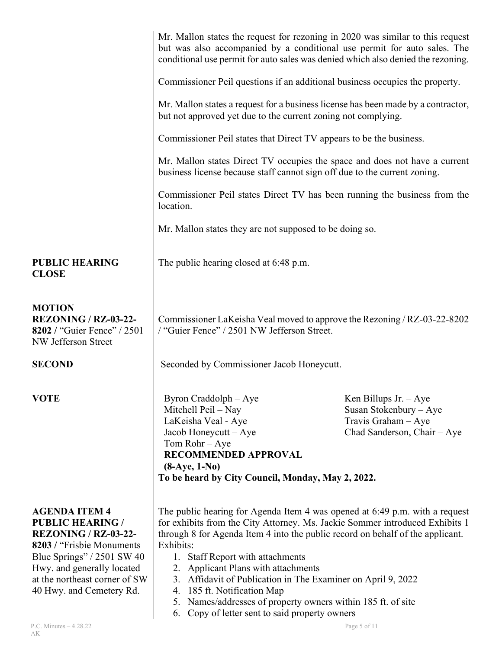|                                                                                                                                                                                                                                         | Mr. Mallon states the request for rezoning in 2020 was similar to this request<br>but was also accompanied by a conditional use permit for auto sales. The<br>conditional use permit for auto sales was denied which also denied the rezoning.                                                                                                                                                                                                                                                                                                            |                                                                                                         |
|-----------------------------------------------------------------------------------------------------------------------------------------------------------------------------------------------------------------------------------------|-----------------------------------------------------------------------------------------------------------------------------------------------------------------------------------------------------------------------------------------------------------------------------------------------------------------------------------------------------------------------------------------------------------------------------------------------------------------------------------------------------------------------------------------------------------|---------------------------------------------------------------------------------------------------------|
|                                                                                                                                                                                                                                         | Commissioner Peil questions if an additional business occupies the property.                                                                                                                                                                                                                                                                                                                                                                                                                                                                              |                                                                                                         |
|                                                                                                                                                                                                                                         | Mr. Mallon states a request for a business license has been made by a contractor,<br>but not approved yet due to the current zoning not complying.                                                                                                                                                                                                                                                                                                                                                                                                        |                                                                                                         |
|                                                                                                                                                                                                                                         | Commissioner Peil states that Direct TV appears to be the business.                                                                                                                                                                                                                                                                                                                                                                                                                                                                                       |                                                                                                         |
|                                                                                                                                                                                                                                         | Mr. Mallon states Direct TV occupies the space and does not have a current<br>business license because staff cannot sign off due to the current zoning.                                                                                                                                                                                                                                                                                                                                                                                                   |                                                                                                         |
|                                                                                                                                                                                                                                         | Commissioner Peil states Direct TV has been running the business from the<br>location.                                                                                                                                                                                                                                                                                                                                                                                                                                                                    |                                                                                                         |
|                                                                                                                                                                                                                                         | Mr. Mallon states they are not supposed to be doing so.                                                                                                                                                                                                                                                                                                                                                                                                                                                                                                   |                                                                                                         |
| <b>PUBLIC HEARING</b><br><b>CLOSE</b>                                                                                                                                                                                                   | The public hearing closed at 6:48 p.m.                                                                                                                                                                                                                                                                                                                                                                                                                                                                                                                    |                                                                                                         |
| <b>MOTION</b><br><b>REZONING / RZ-03-22-</b><br>8202 / "Guier Fence" / 2501<br>NW Jefferson Street                                                                                                                                      | Commissioner LaKeisha Veal moved to approve the Rezoning / RZ-03-22-8202<br>/ "Guier Fence" / 2501 NW Jefferson Street.                                                                                                                                                                                                                                                                                                                                                                                                                                   |                                                                                                         |
| <b>SECOND</b>                                                                                                                                                                                                                           | Seconded by Commissioner Jacob Honeycutt.                                                                                                                                                                                                                                                                                                                                                                                                                                                                                                                 |                                                                                                         |
| <b>VOTE</b>                                                                                                                                                                                                                             | Byron Craddolph - Aye<br>Mitchell Peil – Nay<br>LaKeisha Veal - Aye<br>Jacob Honeycutt - Aye<br>Tom Rohr - Aye<br>RECOMMENDED APPROVAL<br>$(8-Aye, 1-No)$<br>To be heard by City Council, Monday, May 2, 2022.                                                                                                                                                                                                                                                                                                                                            | Ken Billups Jr. $-$ Aye<br>Susan Stokenbury - Aye<br>Travis Graham - Aye<br>Chad Sanderson, Chair - Aye |
| <b>AGENDA ITEM 4</b><br><b>PUBLIC HEARING /</b><br><b>REZONING / RZ-03-22-</b><br>8203 / "Frisbie Monuments"<br>Blue Springs" $/ 2501$ SW 40<br>Hwy. and generally located<br>at the northeast corner of SW<br>40 Hwy. and Cemetery Rd. | The public hearing for Agenda Item 4 was opened at 6:49 p.m. with a request<br>for exhibits from the City Attorney. Ms. Jackie Sommer introduced Exhibits 1<br>through 8 for Agenda Item 4 into the public record on behalf of the applicant.<br>Exhibits:<br>1. Staff Report with attachments<br>2. Applicant Plans with attachments<br>3. Affidavit of Publication in The Examiner on April 9, 2022<br>4. 185 ft. Notification Map<br>5. Names/addresses of property owners within 185 ft. of site<br>Copy of letter sent to said property owners<br>6. |                                                                                                         |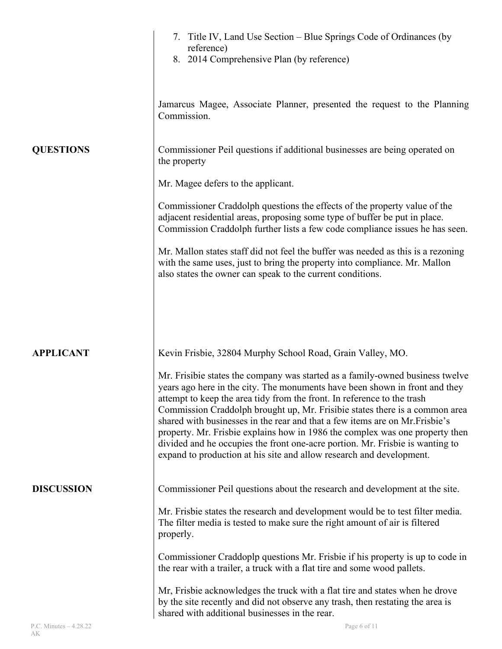|                   | 7. Title IV, Land Use Section – Blue Springs Code of Ordinances (by<br>reference)<br>8. 2014 Comprehensive Plan (by reference)                                                                                                                                                                                                                                                                                                                                                                                                                                                                                                                  |
|-------------------|-------------------------------------------------------------------------------------------------------------------------------------------------------------------------------------------------------------------------------------------------------------------------------------------------------------------------------------------------------------------------------------------------------------------------------------------------------------------------------------------------------------------------------------------------------------------------------------------------------------------------------------------------|
|                   | Jamarcus Magee, Associate Planner, presented the request to the Planning<br>Commission.                                                                                                                                                                                                                                                                                                                                                                                                                                                                                                                                                         |
| <b>QUESTIONS</b>  | Commissioner Peil questions if additional businesses are being operated on<br>the property                                                                                                                                                                                                                                                                                                                                                                                                                                                                                                                                                      |
|                   | Mr. Magee defers to the applicant.                                                                                                                                                                                                                                                                                                                                                                                                                                                                                                                                                                                                              |
|                   | Commissioner Craddolph questions the effects of the property value of the<br>adjacent residential areas, proposing some type of buffer be put in place.<br>Commission Craddolph further lists a few code compliance issues he has seen.                                                                                                                                                                                                                                                                                                                                                                                                         |
|                   | Mr. Mallon states staff did not feel the buffer was needed as this is a rezoning<br>with the same uses, just to bring the property into compliance. Mr. Mallon<br>also states the owner can speak to the current conditions.                                                                                                                                                                                                                                                                                                                                                                                                                    |
|                   |                                                                                                                                                                                                                                                                                                                                                                                                                                                                                                                                                                                                                                                 |
| <b>APPLICANT</b>  | Kevin Frisbie, 32804 Murphy School Road, Grain Valley, MO.                                                                                                                                                                                                                                                                                                                                                                                                                                                                                                                                                                                      |
|                   | Mr. Frisibie states the company was started as a family-owned business twelve<br>years ago here in the city. The monuments have been shown in front and they<br>attempt to keep the area tidy from the front. In reference to the trash<br>Commission Craddolph brought up, Mr. Frisibie states there is a common area<br>shared with businesses in the rear and that a few items are on Mr. Frisbie's<br>property. Mr. Frisbie explains how in 1986 the complex was one property then<br>divided and he occupies the front one-acre portion. Mr. Frisbie is wanting to<br>expand to production at his site and allow research and development. |
| <b>DISCUSSION</b> | Commissioner Peil questions about the research and development at the site.                                                                                                                                                                                                                                                                                                                                                                                                                                                                                                                                                                     |
|                   | Mr. Frisbie states the research and development would be to test filter media.<br>The filter media is tested to make sure the right amount of air is filtered<br>properly.                                                                                                                                                                                                                                                                                                                                                                                                                                                                      |
|                   | Commissioner Craddoplp questions Mr. Frisbie if his property is up to code in<br>the rear with a trailer, a truck with a flat tire and some wood pallets.                                                                                                                                                                                                                                                                                                                                                                                                                                                                                       |
|                   | Mr, Frisbie acknowledges the truck with a flat tire and states when he drove<br>by the site recently and did not observe any trash, then restating the area is<br>shared with additional businesses in the rear.                                                                                                                                                                                                                                                                                                                                                                                                                                |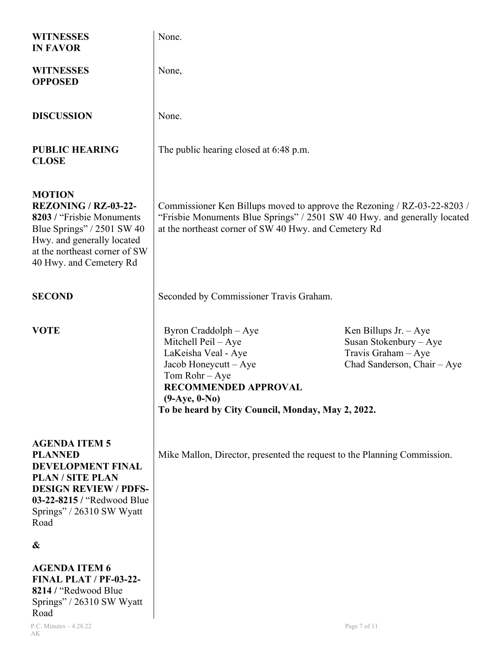| <b>WITNESSES</b><br><b>IN FAVOR</b>                                                                                                                                                                  | None.                                                                                                                                                                                                                 |                                                                                                        |
|------------------------------------------------------------------------------------------------------------------------------------------------------------------------------------------------------|-----------------------------------------------------------------------------------------------------------------------------------------------------------------------------------------------------------------------|--------------------------------------------------------------------------------------------------------|
| <b>WITNESSES</b><br><b>OPPOSED</b>                                                                                                                                                                   | None,                                                                                                                                                                                                                 |                                                                                                        |
| <b>DISCUSSION</b>                                                                                                                                                                                    | None.                                                                                                                                                                                                                 |                                                                                                        |
| <b>PUBLIC HEARING</b><br><b>CLOSE</b>                                                                                                                                                                | The public hearing closed at 6:48 p.m.                                                                                                                                                                                |                                                                                                        |
| <b>MOTION</b><br><b>REZONING / RZ-03-22-</b><br>8203 / "Frisbie Monuments"<br>Blue Springs" / $2501$ SW 40<br>Hwy. and generally located<br>at the northeast corner of SW<br>40 Hwy. and Cemetery Rd | Commissioner Ken Billups moved to approve the Rezoning / RZ-03-22-8203 /<br>"Frisbie Monuments Blue Springs" / 2501 SW 40 Hwy. and generally located<br>at the northeast corner of SW 40 Hwy. and Cemetery Rd         |                                                                                                        |
| <b>SECOND</b>                                                                                                                                                                                        | Seconded by Commissioner Travis Graham.                                                                                                                                                                               |                                                                                                        |
| <b>VOTE</b>                                                                                                                                                                                          | Byron Craddolph – Aye<br>Mitchell Peil - Aye<br>LaKeisha Veal - Aye<br>Jacob Honeycutt - Aye<br>Tom Rohr - Aye<br><b>RECOMMENDED APPROVAL</b><br>$(9-Aye, 0-No)$<br>To be heard by City Council, Monday, May 2, 2022. | Ken Billups Jr. $-Aye$<br>Susan Stokenbury - Aye<br>Travis Graham - Aye<br>Chad Sanderson, Chair - Aye |
| <b>AGENDA ITEM 5</b><br><b>PLANNED</b><br><b>DEVELOPMENT FINAL</b><br><b>PLAN / SITE PLAN</b><br><b>DESIGN REVIEW / PDFS-</b><br>03-22-8215 / "Redwood Blue<br>Springs" / 26310 SW Wyatt<br>Road     | Mike Mallon, Director, presented the request to the Planning Commission.                                                                                                                                              |                                                                                                        |
| &                                                                                                                                                                                                    |                                                                                                                                                                                                                       |                                                                                                        |
| <b>AGENDA ITEM 6</b><br><b>FINAL PLAT / PF-03-22-</b><br>8214 / "Redwood Blue<br>Springs" / 26310 SW Wyatt<br>Road                                                                                   |                                                                                                                                                                                                                       |                                                                                                        |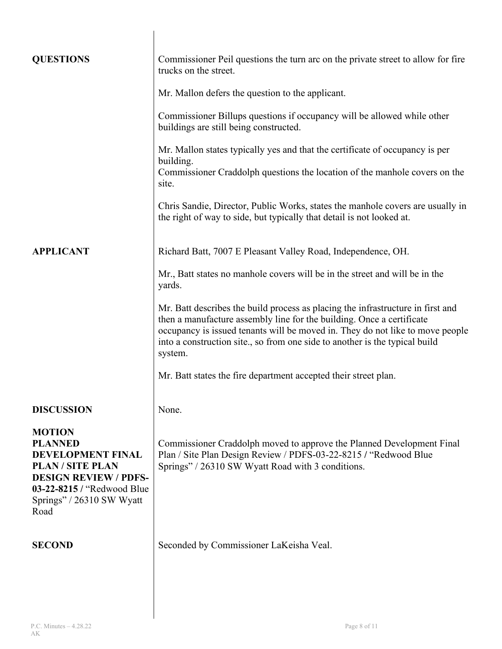| <b>QUESTIONS</b>                                                                                                                                                                 | Commissioner Peil questions the turn arc on the private street to allow for fire<br>trucks on the street.                                                                                                                                                                                                                           |
|----------------------------------------------------------------------------------------------------------------------------------------------------------------------------------|-------------------------------------------------------------------------------------------------------------------------------------------------------------------------------------------------------------------------------------------------------------------------------------------------------------------------------------|
|                                                                                                                                                                                  | Mr. Mallon defers the question to the applicant.                                                                                                                                                                                                                                                                                    |
|                                                                                                                                                                                  | Commissioner Billups questions if occupancy will be allowed while other<br>buildings are still being constructed.                                                                                                                                                                                                                   |
|                                                                                                                                                                                  | Mr. Mallon states typically yes and that the certificate of occupancy is per<br>building.<br>Commissioner Craddolph questions the location of the manhole covers on the<br>site.                                                                                                                                                    |
|                                                                                                                                                                                  | Chris Sandie, Director, Public Works, states the manhole covers are usually in<br>the right of way to side, but typically that detail is not looked at.                                                                                                                                                                             |
| <b>APPLICANT</b>                                                                                                                                                                 | Richard Batt, 7007 E Pleasant Valley Road, Independence, OH.                                                                                                                                                                                                                                                                        |
|                                                                                                                                                                                  | Mr., Batt states no manhole covers will be in the street and will be in the<br>yards.                                                                                                                                                                                                                                               |
|                                                                                                                                                                                  | Mr. Batt describes the build process as placing the infrastructure in first and<br>then a manufacture assembly line for the building. Once a certificate<br>occupancy is issued tenants will be moved in. They do not like to move people<br>into a construction site., so from one side to another is the typical build<br>system. |
|                                                                                                                                                                                  | Mr. Batt states the fire department accepted their street plan.                                                                                                                                                                                                                                                                     |
| <b>DISCUSSION</b>                                                                                                                                                                | None.                                                                                                                                                                                                                                                                                                                               |
| <b>MOTION</b><br><b>PLANNED</b><br>DEVELOPMENT FINAL<br><b>PLAN/SITE PLAN</b><br><b>DESIGN REVIEW / PDFS-</b><br>03-22-8215 / "Redwood Blue<br>Springs" / 26310 SW Wyatt<br>Road | Commissioner Craddolph moved to approve the Planned Development Final<br>Plan / Site Plan Design Review / PDFS-03-22-8215 / "Redwood Blue<br>Springs" / 26310 SW Wyatt Road with 3 conditions.                                                                                                                                      |
| <b>SECOND</b>                                                                                                                                                                    | Seconded by Commissioner LaKeisha Veal.                                                                                                                                                                                                                                                                                             |
|                                                                                                                                                                                  |                                                                                                                                                                                                                                                                                                                                     |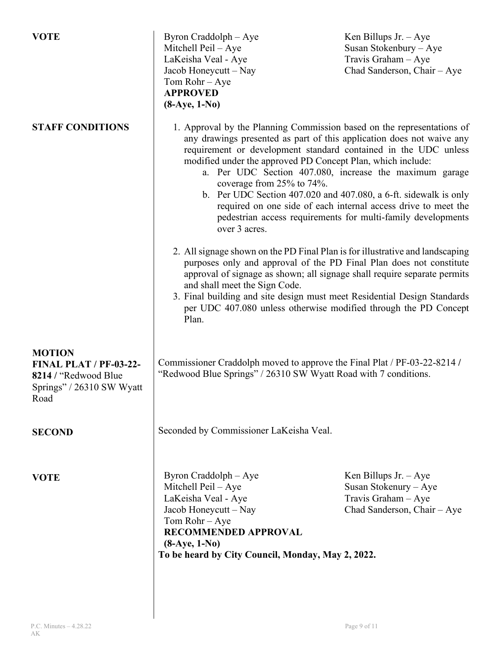| <b>VOTE</b>                                                                                                 | Byron Craddolph - Aye<br>Mitchell Peil – Aye<br>LaKeisha Veal - Aye<br>Jacob Honeycutt – Nay<br>Tom Rohr - Aye<br><b>APPROVED</b><br>$(8-Aye, 1-No)$                                                                                                                                                                                                                                                                                                                                                                                                                                             | Ken Billups Jr. $-Aye$<br>Susan Stokenbury - Aye<br>Travis Graham - Aye<br>Chad Sanderson, Chair - Aye |
|-------------------------------------------------------------------------------------------------------------|--------------------------------------------------------------------------------------------------------------------------------------------------------------------------------------------------------------------------------------------------------------------------------------------------------------------------------------------------------------------------------------------------------------------------------------------------------------------------------------------------------------------------------------------------------------------------------------------------|--------------------------------------------------------------------------------------------------------|
| <b>STAFF CONDITIONS</b>                                                                                     | 1. Approval by the Planning Commission based on the representations of<br>any drawings presented as part of this application does not waive any<br>requirement or development standard contained in the UDC unless<br>modified under the approved PD Concept Plan, which include:<br>a. Per UDC Section 407.080, increase the maximum garage<br>coverage from 25% to 74%.<br>b. Per UDC Section 407.020 and 407.080, a 6-ft. sidewalk is only<br>required on one side of each internal access drive to meet the<br>pedestrian access requirements for multi-family developments<br>over 3 acres. |                                                                                                        |
|                                                                                                             | 2. All signage shown on the PD Final Plan is for illustrative and landscaping<br>purposes only and approval of the PD Final Plan does not constitute<br>approval of signage as shown; all signage shall require separate permits<br>and shall meet the Sign Code.<br>3. Final building and site design must meet Residential Design Standards<br>per UDC 407.080 unless otherwise modified through the PD Concept<br>Plan.                                                                                                                                                                       |                                                                                                        |
| <b>MOTION</b><br><b>FINAL PLAT / PF-03-22-</b><br>8214 / "Redwood Blue<br>Springs" / 26310 SW Wyatt<br>Road | Commissioner Craddolph moved to approve the Final Plat / PF-03-22-8214 /<br>"Redwood Blue Springs" / 26310 SW Wyatt Road with 7 conditions.                                                                                                                                                                                                                                                                                                                                                                                                                                                      |                                                                                                        |
| <b>SECOND</b>                                                                                               | Seconded by Commissioner LaKeisha Veal.                                                                                                                                                                                                                                                                                                                                                                                                                                                                                                                                                          |                                                                                                        |
| <b>VOTE</b>                                                                                                 | Byron Craddolph - Aye<br>Mitchell Peil - Aye<br>LaKeisha Veal - Aye<br>Jacob Honeycutt - Nay<br>Tom Rohr - Aye<br><b>RECOMMENDED APPROVAL</b><br>$(8-Aye, 1-No)$<br>To be heard by City Council, Monday, May 2, 2022.                                                                                                                                                                                                                                                                                                                                                                            | Ken Billups Jr. $-Aye$<br>Susan Stokenury - Aye<br>Travis Graham - Aye<br>Chad Sanderson, Chair - Aye  |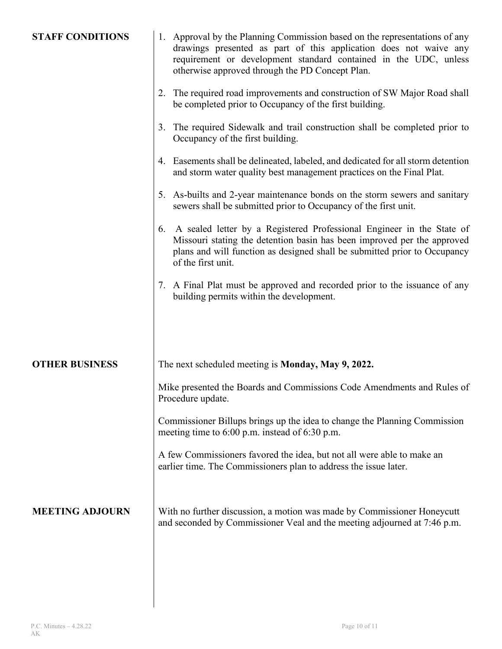| <b>STAFF CONDITIONS</b> | 1. Approval by the Planning Commission based on the representations of any<br>drawings presented as part of this application does not waive any<br>requirement or development standard contained in the UDC, unless<br>otherwise approved through the PD Concept Plan. |
|-------------------------|------------------------------------------------------------------------------------------------------------------------------------------------------------------------------------------------------------------------------------------------------------------------|
|                         | 2. The required road improvements and construction of SW Major Road shall<br>be completed prior to Occupancy of the first building.                                                                                                                                    |
|                         | 3. The required Sidewalk and trail construction shall be completed prior to<br>Occupancy of the first building.                                                                                                                                                        |
|                         | 4. Easements shall be delineated, labeled, and dedicated for all storm detention<br>and storm water quality best management practices on the Final Plat.                                                                                                               |
|                         | 5. As-builts and 2-year maintenance bonds on the storm sewers and sanitary<br>sewers shall be submitted prior to Occupancy of the first unit.                                                                                                                          |
|                         | A sealed letter by a Registered Professional Engineer in the State of<br>6.<br>Missouri stating the detention basin has been improved per the approved<br>plans and will function as designed shall be submitted prior to Occupancy<br>of the first unit.              |
|                         | 7. A Final Plat must be approved and recorded prior to the issuance of any<br>building permits within the development.                                                                                                                                                 |
|                         |                                                                                                                                                                                                                                                                        |
| <b>OTHER BUSINESS</b>   | The next scheduled meeting is <b>Monday</b> , May 9, 2022.                                                                                                                                                                                                             |
|                         | Mike presented the Boards and Commissions Code Amendments and Rules of<br>Procedure update.                                                                                                                                                                            |
|                         | Commissioner Billups brings up the idea to change the Planning Commission<br>meeting time to 6:00 p.m. instead of 6:30 p.m.                                                                                                                                            |
|                         | A few Commissioners favored the idea, but not all were able to make an<br>earlier time. The Commissioners plan to address the issue later.                                                                                                                             |
| <b>MEETING ADJOURN</b>  | With no further discussion, a motion was made by Commissioner Honeycutt<br>and seconded by Commissioner Veal and the meeting adjourned at 7:46 p.m.                                                                                                                    |
|                         |                                                                                                                                                                                                                                                                        |